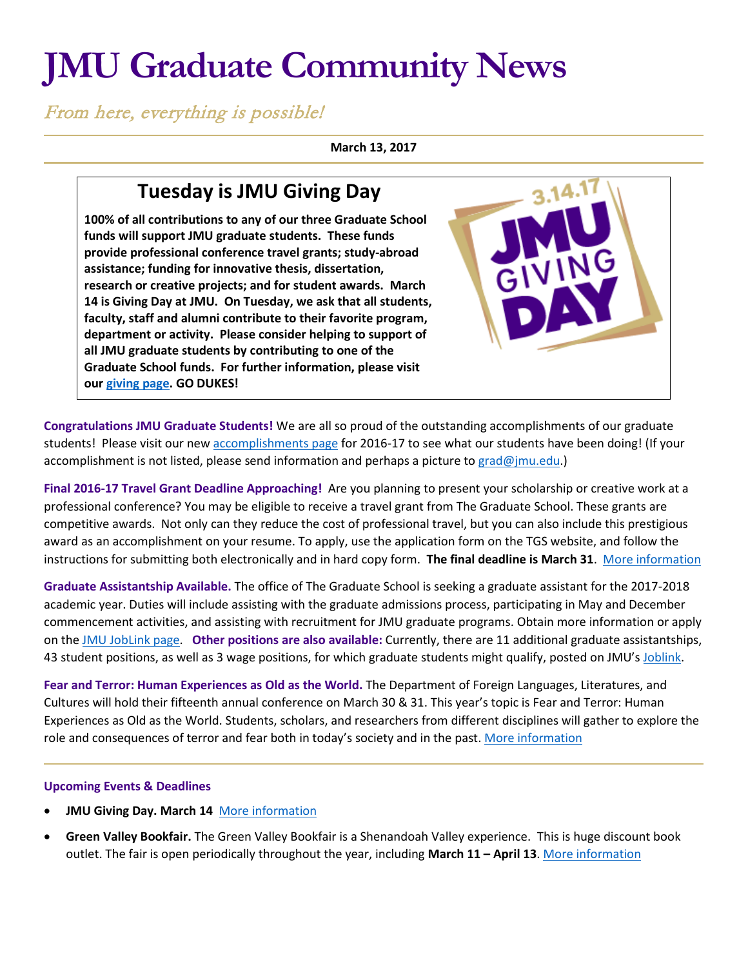# **JMU Graduate Community News**

From here, everything is possible!

**March 13, 2017**

## **Tuesday is JMU Giving Day**

**100% of all contributions to any of our three Graduate School funds will support JMU graduate students. These funds provide professional conference travel grants; study-abroad assistance; funding for innovative thesis, dissertation, research or creative projects; and for student awards. March 14 is Giving Day at JMU. On Tuesday, we ask that all students, faculty, staff and alumni contribute to their favorite program, department or activity. Please consider helping to support of all JMU graduate students by contributing to one of the Graduate School funds. For further information, please visit our [giving page.](http://www.jmu.edu/grad/grad-school-giving/graduate-giving-page.shtml) GO DUKES!**



**Congratulations JMU Graduate Students!** We are all so proud of the outstanding accomplishments of our graduate students! Please visit our ne[w accomplishments page](http://www.jmu.edu/grad/about/graduate-student-accomplishments-2016-17.shtml) for 2016-17 to see what our students have been doing! (If your accomplishment is not listed, please send information and perhaps a picture t[o grad@jmu.edu.](mailto:grad@jmu.edu))

**Final 2016-17 Travel Grant Deadline Approaching!** Are you planning to present your scholarship or creative work at a professional conference? You may be eligible to receive a travel grant from The Graduate School. These grants are competitive awards. Not only can they reduce the cost of professional travel, but you can also include this prestigious award as an accomplishment on your resume. To apply, use the application form on the TGS website, and follow the instructions for submitting both electronically and in hard copy form. **The final deadline is March 31**. [More information](http://www.jmu.edu/grad/current-students/awards/travel-grants.shtml)

**Graduate Assistantship Available.** The office of The Graduate School is seeking a graduate assistant for the 2017-2018 academic year. Duties will include assisting with the graduate admissions process, participating in May and December commencement activities, and assisting with recruitment for JMU graduate programs. Obtain more information or apply on th[e JMU JobLink page.](https://joblink.jmu.edu/applicants/jsp/shared/frameset/Frameset.jsp?time=1489001454161) **Other positions are also available:** Currently, there are 11 additional graduate assistantships, 43 student positions, as well as 3 wage positions, for which graduate students might qualify, posted on JMU'[s Joblink.](https://joblink.jmu.edu/applicants/jsp/shared/frameset/Frameset.jsp?time=1472213991546)

**Fear and Terror: Human Experiences as Old as the World.** The Department of Foreign Languages, Literatures, and Cultures will hold their fifteenth annual conference on March 30 & 31. This year's topic is Fear and Terror: Human Experiences as Old as the World. Students, scholars, and researchers from different disciplines will gather to explore the role and consequences of terror and fear both in today's society and in the past[. More information](http://www.jmu.edu/forlang/conferenceFLLC/call.shtml)

### **Upcoming Events & Deadlines**

- **JMU Giving Day. March 14** [More information](http://givingday.jmu.edu/)
- **Green Valley Bookfair.** The Green Valley Bookfair is a Shenandoah Valley experience. This is huge discount book outlet. The fair is open periodically throughout the year, including **March 11 – April 13**[. More information](http://gobookfair.com/)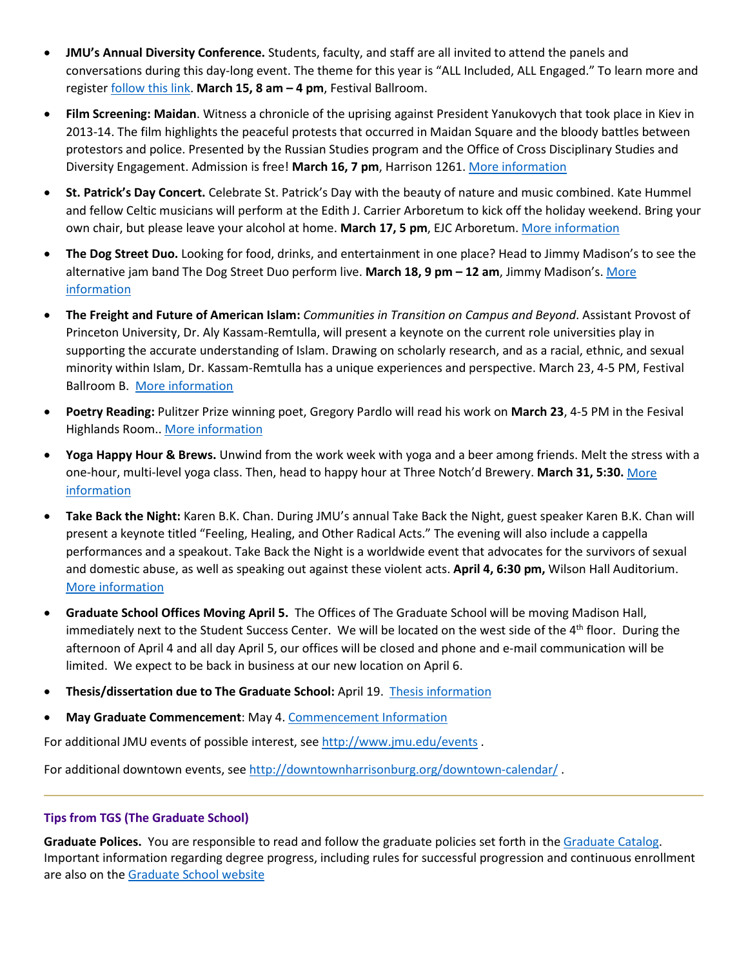- **JMU's Annual Diversity Conference.** Students, faculty, and staff are all invited to attend the panels and conversations during this day-long event. The theme for this year is "ALL Included, ALL Engaged." To learn more and register [follow this link.](http://www.jmu.edu/events/talentdevelopment/2017/03/15-diversity-conference-2017.shtml) **March 15, 8 am – 4 pm**, Festival Ballroom.
- **Film Screening: Maidan**. Witness a chronicle of the uprising against President Yanukovych that took place in Kiev in 2013-14. The film highlights the peaceful protests that occurred in Maidan Square and the bloody battles between protestors and police. Presented by the Russian Studies program and the Office of Cross Disciplinary Studies and Diversity Engagement. Admission is free! **March 16, 7 pm**, Harrison 1261. [More information](http://www.jmu.edu/events/russianstudies/2017/03-16-maidan.shtml)
- **St. Patrick's Day Concert.** Celebrate St. Patrick's Day with the beauty of nature and music combined. Kate Hummel and fellow Celtic musicians will perform at the Edith J. Carrier Arboretum to kick off the holiday weekend. Bring your own chair, but please leave your alcohol at home. **March 17, 5 pm**, EJC Arboretum. [More information](http://www.jmu.edu/events/arboretum/2017/01-arboretum-event19.shtml)
- **The Dog Street Duo.** Looking for food, drinks, and entertainment in one place? Head to Jimmy Madison's to see the alternative jam band The Dog Street Duo perform live. **March 18, 9 pm – 12 am**, Jimmy Madison's. [More](https://tockify.com/downtownharrisonburg/detail/545/1489885200000)  [information](https://tockify.com/downtownharrisonburg/detail/545/1489885200000)
- **The Freight and Future of American Islam:** *Communities in Transition on Campus and Beyond*. Assistant Provost of Princeton University, Dr. Aly Kassam-Remtulla, will present a keynote on the current role universities play in supporting the accurate understanding of Islam. Drawing on scholarly research, and as a racial, ethnic, and sexual minority within Islam, Dr. Kassam-Remtulla has a unique experiences and perspective. March 23, 4-5 PM, Festival Ballroom B. [More information](https://www.jmu.edu/events/caucusgenderequality/2017/03-23-aly-kassam-remtulla.shtml)
- **Poetry Reading:** Pulitzer Prize winning poet, Gregory Pardlo will read his work on **March 23**, 4-5 PM in the Fesival Highlands Room.. [More information](http://www.jmu.edu/events/furiousflower/2017/03/23-gregory-pardlo.shtml)
- **Yoga Happy Hour & Brews.** Unwind from the work week with yoga and a beer among friends. Melt the stress with a one-hour, multi-level yoga class. Then, head to happy hour at Three Notch'd Brewery. **March 31, 5:30.** [More](https://tockify.com/downtownharrisonburg/detail/393/1490995800000)  [information](https://tockify.com/downtownharrisonburg/detail/393/1490995800000)
- **Take Back the Night:** Karen B.K. Chan. During JMU's annual Take Back the Night, guest speaker Karen B.K. Chan will present a keynote titled "Feeling, Healing, and Other Radical Acts." The evening will also include a cappella performances and a speakout. Take Back the Night is a worldwide event that advocates for the survivors of sexual and domestic abuse, as well as speaking out against these violent acts. **April 4, 6:30 pm,** Wilson Hall Auditorium. [More information](https://www.jmu.edu/events/healthcenter/2017/04-tbtn.shtml)
- **Graduate School Offices Moving April 5.** The Offices of The Graduate School will be moving Madison Hall, immediately next to the Student Success Center. We will be located on the west side of the 4<sup>th</sup> floor. During the afternoon of April 4 and all day April 5, our offices will be closed and phone and e-mail communication will be limited. We expect to be back in business at our new location on April 6.
- **Thesis/dissertation due to The Graduate School:** April 19. [Thesis information](http://www.jmu.edu/grad/current-students/thesis-dissertation/information.shtml)
- **May Graduate Commencement**: May 4. [Commencement Information](http://www.jmu.edu/commencement/)

For additional JMU events of possible interest, see <http://www.jmu.edu/events> .

For additional downtown events, see<http://downtownharrisonburg.org/downtown-calendar/>.

#### **Tips from TGS (The Graduate School)**

**Graduate Polices.** You are responsible to read and follow the graduate policies set forth in th[e Graduate Catalog.](http://jmu.edu/catalog) Important information regarding degree progress, including rules for successful progression and continuous enrollment are also on the [Graduate School website](http://www.jmu.edu/grad/current-students/degree-progress/beginning.shtml)